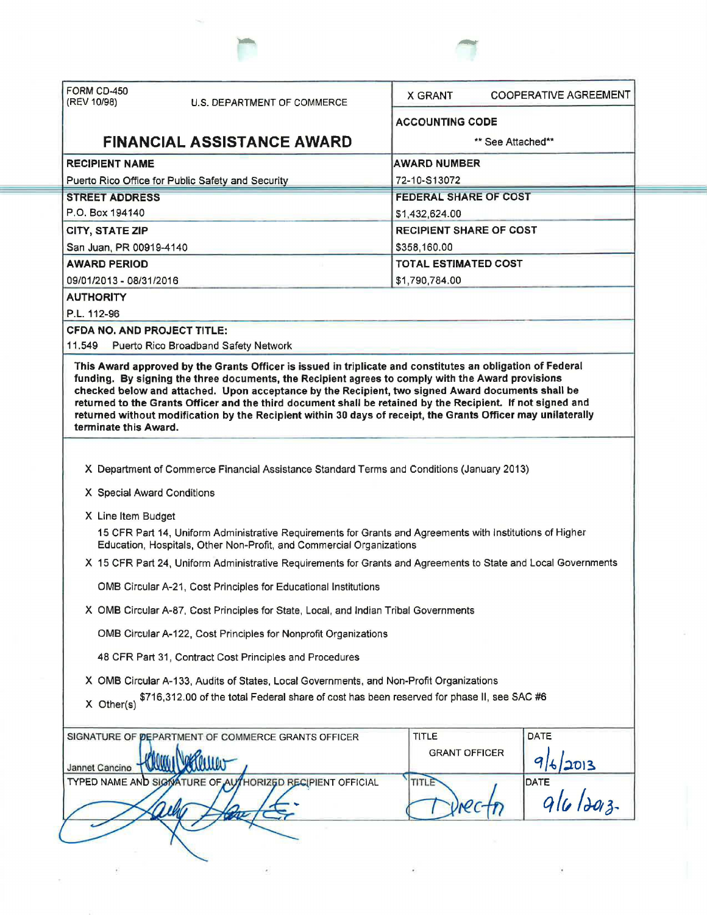| FORM CD-450<br>(REV 10/98)                        | <b>U.S. DEPARTMENT OF COMMERCE</b>                                                                                                                                                     | <b>X GRANT</b>                                                                                                | <b>COOPERATIVE AGREEMENT</b>                                                                                |
|---------------------------------------------------|----------------------------------------------------------------------------------------------------------------------------------------------------------------------------------------|---------------------------------------------------------------------------------------------------------------|-------------------------------------------------------------------------------------------------------------|
|                                                   |                                                                                                                                                                                        | <b>ACCOUNTING CODE</b>                                                                                        |                                                                                                             |
|                                                   | <b>FINANCIAL ASSISTANCE AWARD</b>                                                                                                                                                      | ** See Attached**                                                                                             |                                                                                                             |
| <b>RECIPIENT NAME</b>                             |                                                                                                                                                                                        | <b>AWARD NUMBER</b>                                                                                           |                                                                                                             |
| Puerto Rico Office for Public Safety and Security |                                                                                                                                                                                        | 72-10-S13072                                                                                                  |                                                                                                             |
| <b>STREET ADDRESS</b>                             |                                                                                                                                                                                        | <b>FEDERAL SHARE OF COST</b>                                                                                  |                                                                                                             |
| P.O. Box 194140                                   |                                                                                                                                                                                        | \$1,432,624.00                                                                                                |                                                                                                             |
| <b>CITY, STATE ZIP</b>                            |                                                                                                                                                                                        | <b>RECIPIENT SHARE OF COST</b>                                                                                |                                                                                                             |
| San Juan, PR 00919-4140                           |                                                                                                                                                                                        | \$358,160.00                                                                                                  |                                                                                                             |
| <b>AWARD PERIOD</b>                               |                                                                                                                                                                                        | <b>TOTAL ESTIMATED COST</b>                                                                                   |                                                                                                             |
| 09/01/2013 - 08/31/2016<br><b>AUTHORITY</b>       |                                                                                                                                                                                        | \$1,790,784.00                                                                                                |                                                                                                             |
| P.L. 112-96                                       |                                                                                                                                                                                        |                                                                                                               |                                                                                                             |
| <b>CFDA NO. AND PROJECT TITLE:</b>                |                                                                                                                                                                                        |                                                                                                               |                                                                                                             |
| 11.549                                            | Puerto Rico Broadband Safety Network                                                                                                                                                   |                                                                                                               |                                                                                                             |
|                                                   |                                                                                                                                                                                        | returned without modification by the Recipient within 30 days of receipt, the Grants Officer may unilaterally | returned to the Grants Officer and the third document shall be retained by the Recipient. If not signed and |
| terminate this Award.                             |                                                                                                                                                                                        |                                                                                                               |                                                                                                             |
| X Special Award Conditions                        | X Department of Commerce Financial Assistance Standard Terms and Conditions (January 2013)                                                                                             |                                                                                                               |                                                                                                             |
|                                                   |                                                                                                                                                                                        |                                                                                                               |                                                                                                             |
| X Line Item Budget                                | 15 CFR Part 14, Uniform Administrative Requirements for Grants and Agreements with Institutions of Higher                                                                              |                                                                                                               |                                                                                                             |
|                                                   | Education, Hospitals, Other Non-Profit, and Commercial Organizations<br>X 15 CFR Part 24, Uniform Administrative Requirements for Grants and Agreements to State and Local Governments |                                                                                                               |                                                                                                             |
|                                                   | OMB Circular A-21, Cost Principles for Educational Institutions                                                                                                                        |                                                                                                               |                                                                                                             |
|                                                   | X OMB Circular A-87, Cost Principles for State, Local, and Indian Tribal Governments                                                                                                   |                                                                                                               |                                                                                                             |
|                                                   | OMB Circular A-122, Cost Principles for Nonprofit Organizations                                                                                                                        |                                                                                                               |                                                                                                             |
|                                                   | 48 CFR Part 31, Contract Cost Principles and Procedures                                                                                                                                |                                                                                                               |                                                                                                             |
|                                                   | X OMB Circular A-133, Audits of States, Local Governments, and Non-Profit Organizations                                                                                                |                                                                                                               |                                                                                                             |
| X Other(s)                                        | \$716,312.00 of the total Federal share of cost has been reserved for phase II, see SAC #6                                                                                             |                                                                                                               |                                                                                                             |
|                                                   | SIGNATURE OF PEPARTMENT OF COMMERCE GRANTS OFFICER                                                                                                                                     | <b>TITLE</b>                                                                                                  | <b>DATE</b>                                                                                                 |
| Jannet Cancino                                    |                                                                                                                                                                                        | <b>GRANT OFFICER</b>                                                                                          | 2013                                                                                                        |
|                                                   | TYPED NAME AND SIGNATURE OF AUTHORIZED RECIPIENT OFFICIAL                                                                                                                              | TITLE                                                                                                         | TE $q _{\theta} _{\partial q}$<br>DATE                                                                      |

 $\overline{\phantom{a}}$